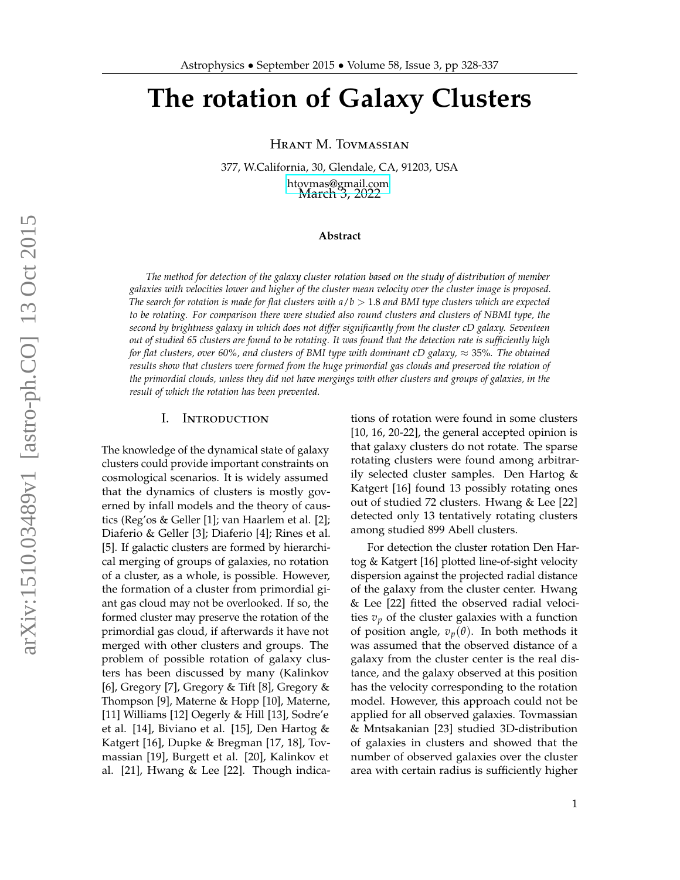# **The rotation of Galaxy Clusters**

Hrant M. Tovmassian

377, W.California, 30, Glendale, CA, 91203, USA [htovmas@gmail.com](mailto:htovmas@gmail.com) March 3, 2022

## **Abstract**

*The method for detection of the galaxy cluster rotation based on the study of distribution of member galaxies with velocities lower and higher of the cluster mean velocity over the cluster image is proposed. The search for rotation is made for flat clusters with a*/*b* > 1.8 *and BMI type clusters which are expected to be rotating. For comparison there were studied also round clusters and clusters of NBMI type, the second by brightness galaxy in which does not differ significantly from the cluster cD galaxy. Seventeen out of studied 65 clusters are found to be rotating. It was found that the detection rate is sufficiently high for flat clusters, over 60%, and clusters of BMI type with dominant cD galaxy,*  $\approx$  35%. The obtained *results show that clusters were formed from the huge primordial gas clouds and preserved the rotation of the primordial clouds, unless they did not have mergings with other clusters and groups of galaxies, in the result of which the rotation has been prevented.*

#### I. Introduction

The knowledge of the dynamical state of galaxy clusters could provide important constraints on cosmological scenarios. It is widely assumed that the dynamics of clusters is mostly governed by infall models and the theory of caustics (Reg'os & Geller [1]; van Haarlem et al. [2]; Diaferio & Geller [3]; Diaferio [4]; Rines et al. [5]. If galactic clusters are formed by hierarchical merging of groups of galaxies, no rotation of a cluster, as a whole, is possible. However, the formation of a cluster from primordial giant gas cloud may not be overlooked. If so, the formed cluster may preserve the rotation of the primordial gas cloud, if afterwards it have not merged with other clusters and groups. The problem of possible rotation of galaxy clusters has been discussed by many (Kalinkov [6], Gregory [7], Gregory & Tift [8], Gregory & Thompson [9], Materne & Hopp [10], Materne, [11] Williams [12] Oegerly & Hill [13], Sodre'e et al. [14], Biviano et al. [15], Den Hartog & Katgert [16], Dupke & Bregman [17, 18], Tovmassian [19], Burgett et al. [20], Kalinkov et al. [21], Hwang & Lee [22]. Though indications of rotation were found in some clusters [10, 16, 20-22], the general accepted opinion is that galaxy clusters do not rotate. The sparse rotating clusters were found among arbitrarily selected cluster samples. Den Hartog & Katgert [16] found 13 possibly rotating ones out of studied 72 clusters. Hwang & Lee [22] detected only 13 tentatively rotating clusters among studied 899 Abell clusters.

For detection the cluster rotation Den Hartog & Katgert [16] plotted line-of-sight velocity dispersion against the projected radial distance of the galaxy from the cluster center. Hwang & Lee [22] fitted the observed radial velocities  $v_p$  of the cluster galaxies with a function of position angle,  $v_p(\theta)$ . In both methods it was assumed that the observed distance of a galaxy from the cluster center is the real distance, and the galaxy observed at this position has the velocity corresponding to the rotation model. However, this approach could not be applied for all observed galaxies. Tovmassian & Mntsakanian [23] studied 3D-distribution of galaxies in clusters and showed that the number of observed galaxies over the cluster area with certain radius is sufficiently higher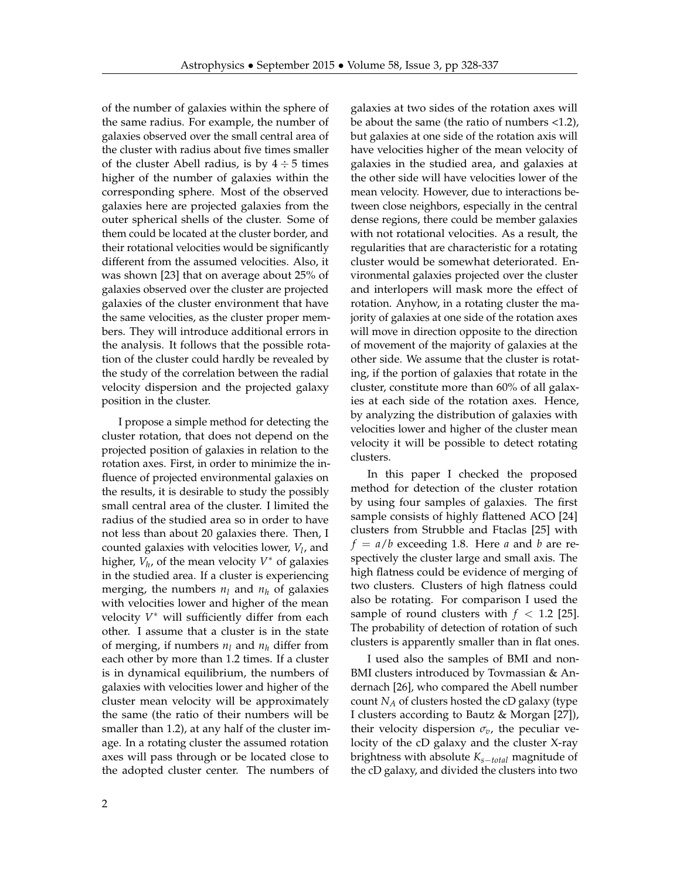of the number of galaxies within the sphere of the same radius. For example, the number of galaxies observed over the small central area of the cluster with radius about five times smaller of the cluster Abell radius, is by  $4 \div 5$  times higher of the number of galaxies within the corresponding sphere. Most of the observed galaxies here are projected galaxies from the outer spherical shells of the cluster. Some of them could be located at the cluster border, and their rotational velocities would be significantly different from the assumed velocities. Also, it was shown [23] that on average about 25% of galaxies observed over the cluster are projected galaxies of the cluster environment that have the same velocities, as the cluster proper members. They will introduce additional errors in the analysis. It follows that the possible rotation of the cluster could hardly be revealed by the study of the correlation between the radial velocity dispersion and the projected galaxy position in the cluster.

I propose a simple method for detecting the cluster rotation, that does not depend on the projected position of galaxies in relation to the rotation axes. First, in order to minimize the influence of projected environmental galaxies on the results, it is desirable to study the possibly small central area of the cluster. I limited the radius of the studied area so in order to have not less than about 20 galaxies there. Then, I counted galaxies with velocities lower, *V<sup>l</sup>* , and higher, *V<sup>h</sup>* , of the mean velocity *V* <sup>∗</sup> of galaxies in the studied area. If a cluster is experiencing merging, the numbers  $n_l$  and  $n_h$  of galaxies with velocities lower and higher of the mean velocity *V* <sup>∗</sup> will sufficiently differ from each other. I assume that a cluster is in the state of merging, if numbers  $n_l$  and  $n_h$  differ from each other by more than 1.2 times. If a cluster is in dynamical equilibrium, the numbers of galaxies with velocities lower and higher of the cluster mean velocity will be approximately the same (the ratio of their numbers will be smaller than 1.2), at any half of the cluster image. In a rotating cluster the assumed rotation axes will pass through or be located close to the adopted cluster center. The numbers of

galaxies at two sides of the rotation axes will be about the same (the ratio of numbers <1.2), but galaxies at one side of the rotation axis will have velocities higher of the mean velocity of galaxies in the studied area, and galaxies at the other side will have velocities lower of the mean velocity. However, due to interactions between close neighbors, especially in the central dense regions, there could be member galaxies with not rotational velocities. As a result, the regularities that are characteristic for a rotating cluster would be somewhat deteriorated. Environmental galaxies projected over the cluster and interlopers will mask more the effect of rotation. Anyhow, in a rotating cluster the majority of galaxies at one side of the rotation axes will move in direction opposite to the direction of movement of the majority of galaxies at the other side. We assume that the cluster is rotating, if the portion of galaxies that rotate in the cluster, constitute more than 60% of all galaxies at each side of the rotation axes. Hence, by analyzing the distribution of galaxies with velocities lower and higher of the cluster mean velocity it will be possible to detect rotating clusters.

In this paper I checked the proposed method for detection of the cluster rotation by using four samples of galaxies. The first sample consists of highly flattened ACO [24] clusters from Strubble and Ftaclas [25] with  $f = a/b$  exceeding 1.8. Here *a* and *b* are respectively the cluster large and small axis. The high flatness could be evidence of merging of two clusters. Clusters of high flatness could also be rotating. For comparison I used the sample of round clusters with  $f < 1.2$  [25]. The probability of detection of rotation of such clusters is apparently smaller than in flat ones.

I used also the samples of BMI and non-BMI clusters introduced by Tovmassian & Andernach [26], who compared the Abell number count *N<sup>A</sup>* of clusters hosted the cD galaxy (type I clusters according to Bautz & Morgan [27]), their velocity dispersion  $\sigma_v$ , the peculiar velocity of the cD galaxy and the cluster X-ray brightness with absolute *Ks*−*total* magnitude of the cD galaxy, and divided the clusters into two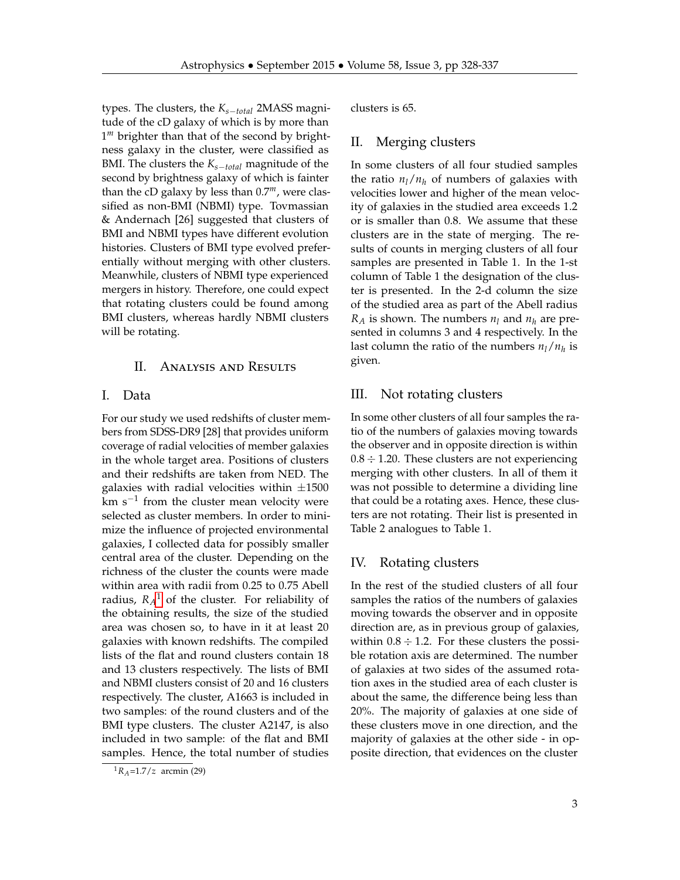types. The clusters, the *Ks*−*total* 2MASS magnitude of the cD galaxy of which is by more than 1<sup>m</sup> brighter than that of the second by brightness galaxy in the cluster, were classified as BMI. The clusters the *Ks*−*total* magnitude of the second by brightness galaxy of which is fainter than the cD galaxy by less than 0.7*m*, were classified as non-BMI (NBMI) type. Tovmassian & Andernach [26] suggested that clusters of BMI and NBMI types have different evolution histories. Clusters of BMI type evolved preferentially without merging with other clusters. Meanwhile, clusters of NBMI type experienced mergers in history. Therefore, one could expect that rotating clusters could be found among BMI clusters, whereas hardly NBMI clusters will be rotating.

# II. Analysis and Results

# I. Data

For our study we used redshifts of cluster members from SDSS-DR9 [28] that provides uniform coverage of radial velocities of member galaxies in the whole target area. Positions of clusters and their redshifts are taken from NED. The galaxies with radial velocities within  $\pm 1500$ km s−<sup>1</sup> from the cluster mean velocity were selected as cluster members. In order to minimize the influence of projected environmental galaxies, I collected data for possibly smaller central area of the cluster. Depending on the richness of the cluster the counts were made within area with radii from 0.25 to 0.75 Abell radius,  $R_A^1$  $R_A^1$  of the cluster. For reliability of the obtaining results, the size of the studied area was chosen so, to have in it at least 20 galaxies with known redshifts. The compiled lists of the flat and round clusters contain 18 and 13 clusters respectively. The lists of BMI and NBMI clusters consist of 20 and 16 clusters respectively. The cluster, A1663 is included in two samples: of the round clusters and of the BMI type clusters. The cluster A2147, is also included in two sample: of the flat and BMI samples. Hence, the total number of studies clusters is 65.

## II. Merging clusters

In some clusters of all four studied samples the ratio  $n_l/n_h$  of numbers of galaxies with velocities lower and higher of the mean velocity of galaxies in the studied area exceeds 1.2 or is smaller than 0.8. We assume that these clusters are in the state of merging. The results of counts in merging clusters of all four samples are presented in Table 1. In the 1-st column of Table 1 the designation of the cluster is presented. In the 2-d column the size of the studied area as part of the Abell radius  $R_A$  is shown. The numbers  $n_l$  and  $n_h$  are presented in columns 3 and 4 respectively. In the last column the ratio of the numbers *nl*/*n<sup>h</sup>* is given.

# III. Not rotating clusters

In some other clusters of all four samples the ratio of the numbers of galaxies moving towards the observer and in opposite direction is within  $0.8 \div 1.20$ . These clusters are not experiencing merging with other clusters. In all of them it was not possible to determine a dividing line that could be a rotating axes. Hence, these clusters are not rotating. Their list is presented in Table 2 analogues to Table 1.

## IV. Rotating clusters

In the rest of the studied clusters of all four samples the ratios of the numbers of galaxies moving towards the observer and in opposite direction are, as in previous group of galaxies, within  $0.8 \div 1.2$ . For these clusters the possible rotation axis are determined. The number of galaxies at two sides of the assumed rotation axes in the studied area of each cluster is about the same, the difference being less than 20%. The majority of galaxies at one side of these clusters move in one direction, and the majority of galaxies at the other side - in opposite direction, that evidences on the cluster

<span id="page-2-0"></span> ${}^{1}R_{A}$ =1.7/*z* arcmin (29)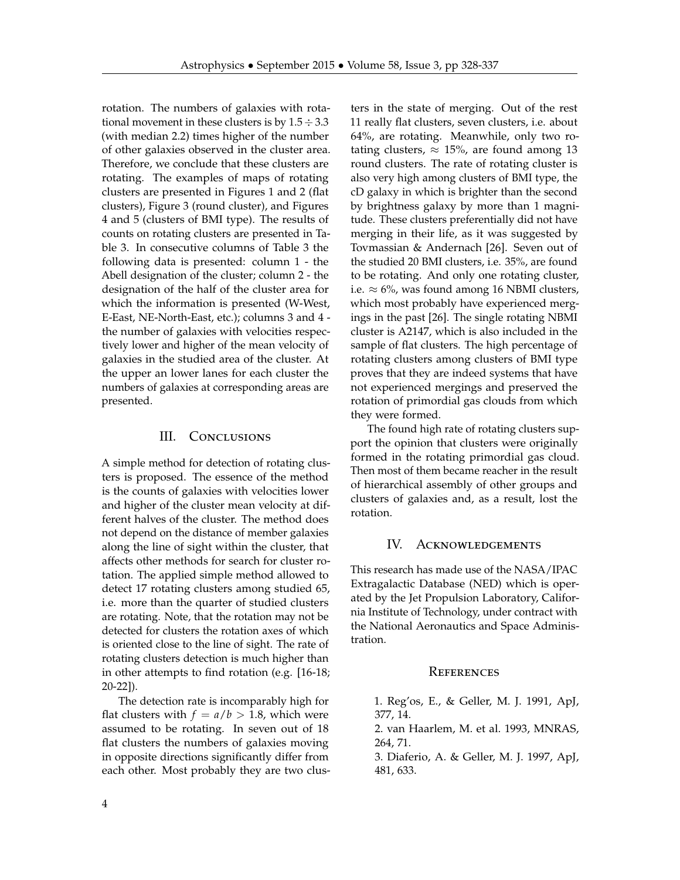rotation. The numbers of galaxies with rotational movement in these clusters is by  $1.5 \div 3.3$ (with median 2.2) times higher of the number of other galaxies observed in the cluster area. Therefore, we conclude that these clusters are rotating. The examples of maps of rotating clusters are presented in Figures 1 and 2 (flat clusters), Figure 3 (round cluster), and Figures 4 and 5 (clusters of BMI type). The results of counts on rotating clusters are presented in Table 3. In consecutive columns of Table 3 the following data is presented: column 1 - the Abell designation of the cluster; column 2 - the designation of the half of the cluster area for which the information is presented (W-West, E-East, NE-North-East, etc.); columns 3 and 4 the number of galaxies with velocities respectively lower and higher of the mean velocity of galaxies in the studied area of the cluster. At the upper an lower lanes for each cluster the numbers of galaxies at corresponding areas are presented.

## III. CONCLUSIONS

A simple method for detection of rotating clusters is proposed. The essence of the method is the counts of galaxies with velocities lower and higher of the cluster mean velocity at different halves of the cluster. The method does not depend on the distance of member galaxies along the line of sight within the cluster, that affects other methods for search for cluster rotation. The applied simple method allowed to detect 17 rotating clusters among studied 65, i.e. more than the quarter of studied clusters are rotating. Note, that the rotation may not be detected for clusters the rotation axes of which is oriented close to the line of sight. The rate of rotating clusters detection is much higher than in other attempts to find rotation (e.g. [16-18; 20-22]).

The detection rate is incomparably high for flat clusters with  $f = a/b > 1.8$ , which were assumed to be rotating. In seven out of 18 flat clusters the numbers of galaxies moving in opposite directions significantly differ from each other. Most probably they are two clusters in the state of merging. Out of the rest 11 really flat clusters, seven clusters, i.e. about 64%, are rotating. Meanwhile, only two rotating clusters,  $\approx 15%$ , are found among 13 round clusters. The rate of rotating cluster is also very high among clusters of BMI type, the cD galaxy in which is brighter than the second by brightness galaxy by more than 1 magnitude. These clusters preferentially did not have merging in their life, as it was suggested by Tovmassian & Andernach [26]. Seven out of the studied 20 BMI clusters, i.e. 35%, are found to be rotating. And only one rotating cluster, i.e.  $\approx$  6%, was found among 16 NBMI clusters, which most probably have experienced mergings in the past [26]. The single rotating NBMI cluster is A2147, which is also included in the sample of flat clusters. The high percentage of rotating clusters among clusters of BMI type proves that they are indeed systems that have not experienced mergings and preserved the rotation of primordial gas clouds from which they were formed.

The found high rate of rotating clusters support the opinion that clusters were originally formed in the rotating primordial gas cloud. Then most of them became reacher in the result of hierarchical assembly of other groups and clusters of galaxies and, as a result, lost the rotation.

## IV. Acknowledgements

This research has made use of the NASA/IPAC Extragalactic Database (NED) which is operated by the Jet Propulsion Laboratory, California Institute of Technology, under contract with the National Aeronautics and Space Administration.

## **REFERENCES**

1. Reg'os, E., & Geller, M. J. 1991, ApJ, 377, 14. 2. van Haarlem, M. et al. 1993, MNRAS, 264, 71. 3. Diaferio, A. & Geller, M. J. 1997, ApJ, 481, 633.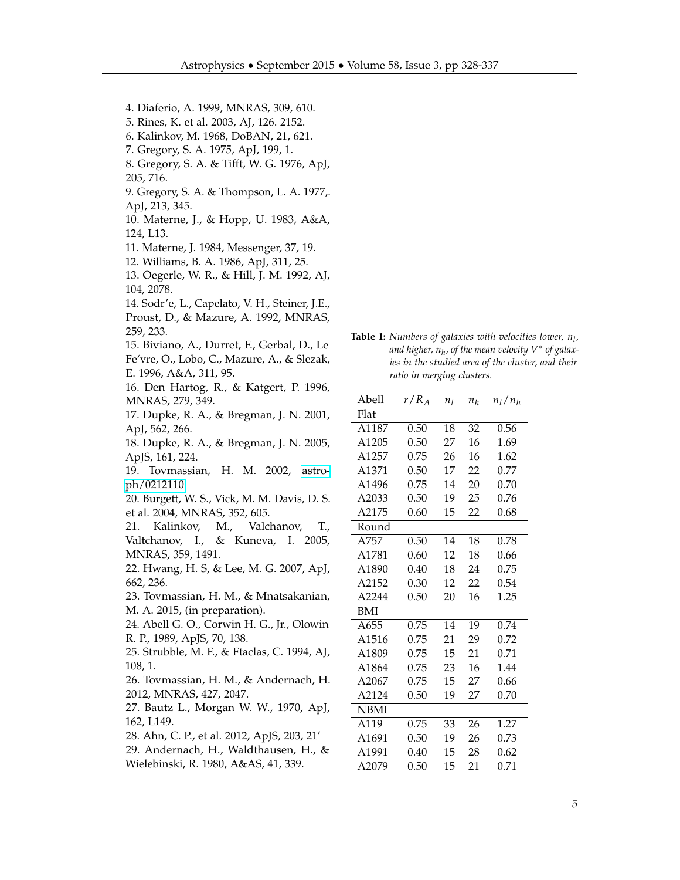4. Diaferio, A. 1999, MNRAS, 309, 610. 5. Rines, K. et al. 2003, AJ, 126. 2152. 6. Kalinkov, M. 1968, DoBAN, 21, 621. 7. Gregory, S. A. 1975, ApJ, 199, 1. 8. Gregory, S. A. & Tifft, W. G. 1976, ApJ, 205, 716. 9. Gregory, S. A. & Thompson, L. A. 1977,. ApJ, 213, 345. 10. Materne, J., & Hopp, U. 1983, A&A, 124, L13. 11. Materne, J. 1984, Messenger, 37, 19. 12. Williams, B. A. 1986, ApJ, 311, 25. 13. Oegerle, W. R., & Hill, J. M. 1992, AJ, 104, 2078. 14. Sodr'e, L., Capelato, V. H., Steiner, J.E., Proust, D., & Mazure, A. 1992, MNRAS, 259, 233. 15. Biviano, A., Durret, F., Gerbal, D., Le Fe'vre, O., Lobo, C., Mazure, A., & Slezak, E. 1996, A&A, 311, 95. 16. Den Hartog, R., & Katgert, P. 1996, MNRAS, 279, 349. 17. Dupke, R. A., & Bregman, J. N. 2001, ApJ, 562, 266. 18. Dupke, R. A., & Bregman, J. N. 2005, ApJS, 161, 224. 19. Tovmassian, H. M. 2002, [astro](http://arxiv.org/abs/astro-ph/0212110)[ph/0212110.](http://arxiv.org/abs/astro-ph/0212110) 20. Burgett, W. S., Vick, M. M. Davis, D. S. et al. 2004, MNRAS, 352, 605. 21. Kalinkov, M., Valchanov, T., Valtchanov, I., & Kuneva, I. 2005, MNRAS, 359, 1491. 22. Hwang, H. S, & Lee, M. G. 2007, ApJ, 662, 236. 23. Tovmassian, H. M., & Mnatsakanian, M. A. 2015, (in preparation). 24. Abell G. O., Corwin H. G., Jr., Olowin R. P., 1989, ApJS, 70, 138. 25. Strubble, M. F., & Ftaclas, C. 1994, AJ, 108, 1. 26. Tovmassian, H. M., & Andernach, H. 2012, MNRAS, 427, 2047. 27. Bautz L., Morgan W. W., 1970, ApJ, 162, L149. 28. Ahn, C. P., et al. 2012, ApJS, 203, 21' 29. Andernach, H., Waldthausen, H., & Wielebinski, R. 1980, A&AS, 41, 339.

**Table 1:** *Numbers of galaxies with velocities lower, n<sup>l</sup> , and higher, n<sup>h</sup> , of the mean velocity V* ∗ *of galaxies in the studied area of the cluster, and their ratio in merging clusters.*

| Abell             | $r/R_A$ | n <sub>1</sub> | nħ | $n_l/n_h$ |  |
|-------------------|---------|----------------|----|-----------|--|
| Flat              |         |                |    |           |  |
| A1187             | 0.50    | 18             | 32 | 0.56      |  |
| A1205             | 0.50    | 27             | 16 | 1.69      |  |
| A1257             | 0.75    | 26             | 16 | 1.62      |  |
| A1371             | 0.50    | 17             | 22 | 0.77      |  |
| A1496             | 0.75    | 14             | 20 | 0.70      |  |
| A2033             | 0.50    | 19             | 25 | 0.76      |  |
| A2175             | 0.60    | 15             | 22 | 0.68      |  |
| Round             |         |                |    |           |  |
| A757              | 0.50    | 14             | 18 | 0.78      |  |
| A1781             | 0.60    | 12             | 18 | 0.66      |  |
| A1890             | 0.40    | 18             | 24 | 0.75      |  |
| A2152             | 0.30    | 12             | 22 | 0.54      |  |
| A2244             | 0.50    | 20             | 16 | 1.25      |  |
| <b>BMI</b>        |         |                |    |           |  |
| A655              | 0.75    | 14             | 19 | 0.74      |  |
| A1516             | 0.75    | 21             | 29 | 0.72      |  |
| A1809             | 0.75    | 15             | 21 | 0.71      |  |
| A1864             | 0.75    | 23             | 16 | 1.44      |  |
| A2067             | 0.75    | 15             | 27 | 0.66      |  |
| A2124             | 0.50    | 19             | 27 | 0.70      |  |
| <b>NBMI</b>       |         |                |    |           |  |
| $\overline{A119}$ | 0.75    | 33             | 26 | 1.27      |  |
| A1691             | 0.50    | 19             | 26 | 0.73      |  |
| A1991             | 0.40    | 15             | 28 | 0.62      |  |
| A2079             | 0.50    | 15             | 21 | 0.71      |  |
|                   |         |                |    |           |  |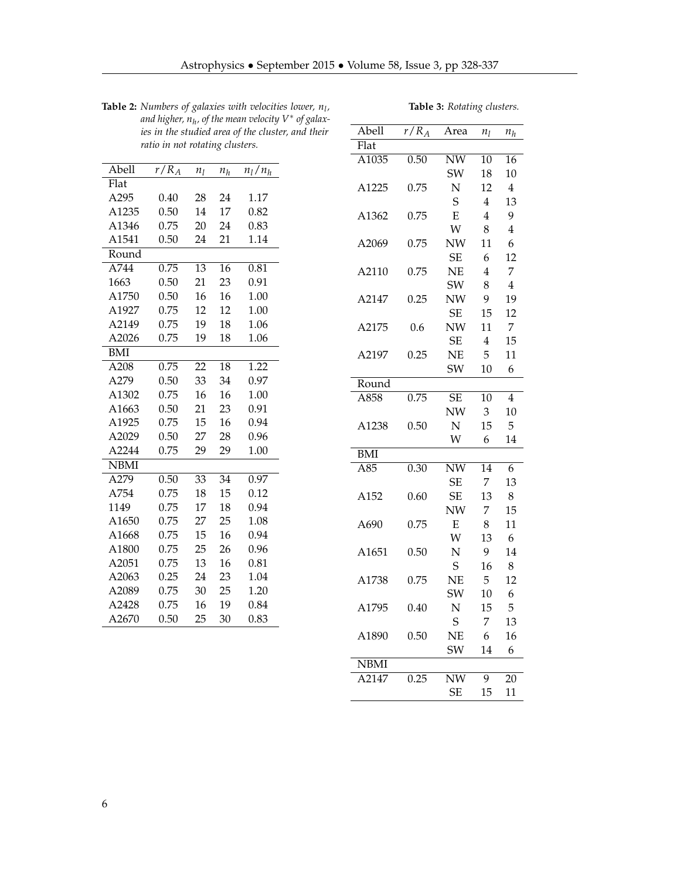| Abell       | $r/R_A$ | $n_l$ | $n_h$ | $n_l/n_h$ |  |
|-------------|---------|-------|-------|-----------|--|
| Flat        |         |       |       |           |  |
| A295        | 0.40    | 28    | 24    | 1.17      |  |
| A1235       | 0.50    | 14    | 17    | 0.82      |  |
| A1346       | 0.75    | 20    | 24    | 0.83      |  |
| A1541       | 0.50    | 24    | 21    | 1.14      |  |
| Round       |         |       |       |           |  |
| A744        | 0.75    | 13    | 16    | 0.81      |  |
| 1663        | 0.50    | 21    | 23    | 0.91      |  |
| A1750       | 0.50    | 16    | 16    | 1.00      |  |
| A1927       | 0.75    | 12    | 12    | 1.00      |  |
| A2149       | 0.75    | 19    | 18    | 1.06      |  |
| A2026       | 0.75    | 19    | 18    | 1.06      |  |
| <b>BMI</b>  |         |       |       |           |  |
| A208        | 0.75    | 22    | 18    | 1.22      |  |
| A279        | 0.50    | 33    | 34    | 0.97      |  |
| A1302       | 0.75    | 16    | 16    | 1.00      |  |
| A1663       | 0.50    | 21    | 23    | 0.91      |  |
| A1925       | 0.75    | 15    | 16    | 0.94      |  |
| A2029       | 0.50    | 27    | 28    | 0.96      |  |
| A2244       | 0.75    | 29    | 29    | 1.00      |  |
| <b>NBMI</b> |         |       |       |           |  |
| A279        | 0.50    | 33    | 34    | 0.97      |  |
| A754        | 0.75    | 18    | 15    | 0.12      |  |
| 1149        | 0.75    | 17    | 18    | 0.94      |  |
| A1650       | 0.75    | 27    | 25    | 1.08      |  |
| A1668       | 0.75    | 15    | 16    | 0.94      |  |
| A1800       | 0.75    | 25    | 26    | 0.96      |  |
| A2051       | 0.75    | 13    | 16    | 0.81      |  |
| A2063       | 0.25    | 24    | 23    | 1.04      |  |
| A2089       | 0.75    | 30    | 25    | 1.20      |  |
| A2428       | 0.75    | 16    | 19    | 0.84      |  |
| A2670       | 0.50    | 25    | 30    | 0.83      |  |

**Table 2:** *Numbers of galaxies with velocities lower, n<sup>l</sup> , and higher, n<sup>h</sup> , of the mean velocity V* ∗ *of galaxies in the studied area of the cluster, and their ratio in not rotating clusters.*

| Abell       | $r/R_A$ | Area                   | $n_l$ | $n_h$          |
|-------------|---------|------------------------|-------|----------------|
| Flat        |         |                        |       |                |
| A1035       | 0.50    | $\overline{\text{NW}}$ | 10    | 16             |
|             |         | SW                     | 18    | 10             |
| A1225       | 0.75    | N                      | 12    | 4              |
|             |         | S                      | 4     | 13             |
| A1362       | 0.75    | E                      | 4     | 9              |
|             |         | W                      | 8     | 4              |
| A2069       | 0.75    | NW                     | 11    | 6              |
|             |         | SE                     | 6     | 12             |
| A2110       | 0.75    | NE                     | 4     | 7              |
|             |         | SW                     | 8     | $\overline{4}$ |
| A2147       | 0.25    | <b>NW</b>              | 9     | 19             |
|             |         | <b>SE</b>              | 15    | 12             |
| A2175       | 0.6     | NW                     | 11    | 7              |
|             |         | <b>SE</b>              | 4     | 15             |
| A2197       | 0.25    | NE                     | 5     | 11             |
|             |         | SW                     | 10    | 6              |
| Round       |         |                        |       |                |
| A858        | 0.75    | SЕ                     | 10    | 4              |
|             |         | NW                     | 3     | 10             |
| A1238       | 0.50    | N                      | 15    | 5              |
|             |         | W                      | 6     | 14             |
| <b>BMI</b>  |         |                        |       |                |
| A85         | 0.30    | $\overline{\text{NW}}$ | 14    | 6              |
|             |         | SЕ                     | 7     | 13             |
| A152        | 0.60    | SЕ                     | 13    | 8              |
|             |         | NW                     | 7     | 15             |
| A690        | 0.75    | Е                      | 8     | 11             |
|             |         | W                      | 13    | 6              |
| A1651       | 0.50    | N                      | 9     | 14             |
|             |         | S                      | 16    | 8              |
| A1738       | 0.75    | NΕ                     | 5     | 12             |
|             |         | SW                     | 10    | 6              |
| A1795       | 0.40    | N                      | 15    | 5              |
|             |         | S                      | 7     | 13             |
| A1890       | 0.50    | NΕ                     | 6     | 16             |
|             |         | SW                     | 14    | 6              |
| <b>NBMI</b> |         |                        |       |                |
| A2147       | 0.25    | NW                     | 9     | 20             |
|             |         | SЕ                     | 15    | 11             |

**Table 3:** *Rotating clusters.*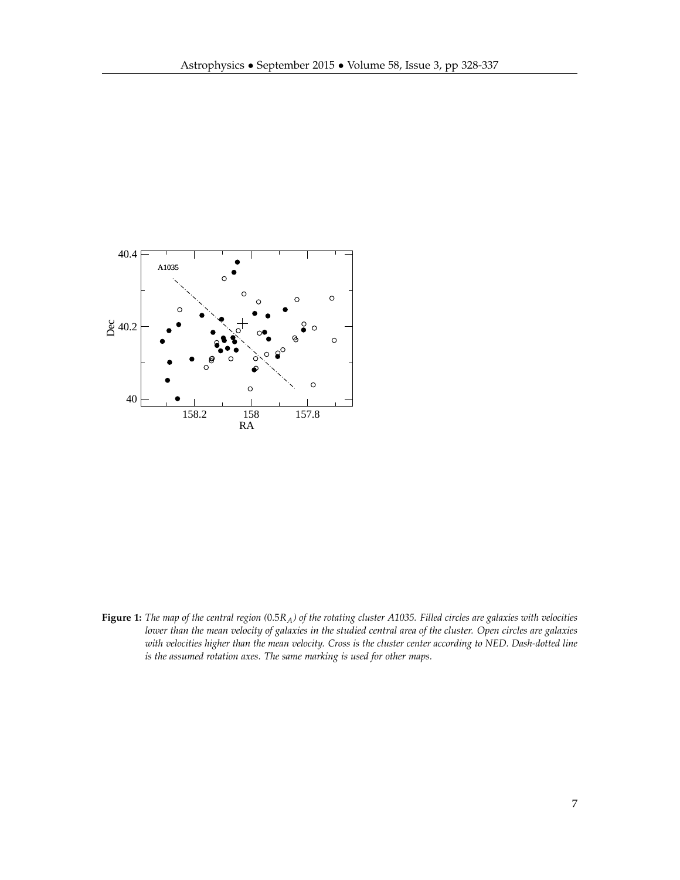

**Figure 1:** *The map of the central region (*0.5*RA) of the rotating cluster A1035. Filled circles are galaxies with velocities lower than the mean velocity of galaxies in the studied central area of the cluster. Open circles are galaxies with velocities higher than the mean velocity. Cross is the cluster center according to NED. Dash-dotted line is the assumed rotation axes. The same marking is used for other maps.*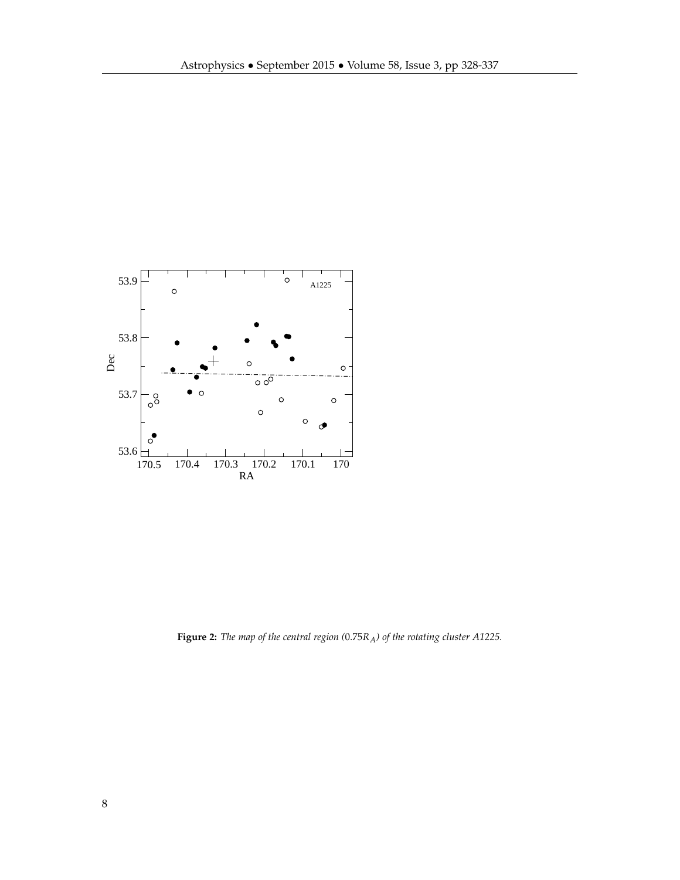

**Figure 2:** *The map of the central region (*0.75*RA) of the rotating cluster A1225.*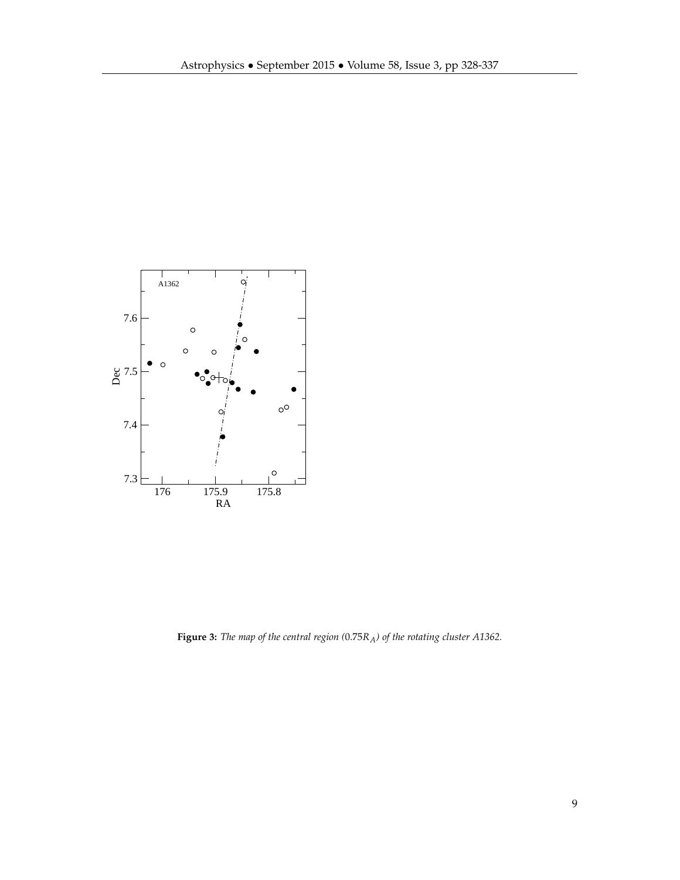

**Figure 3:** *The map of the central region (*0.75*RA) of the rotating cluster A1362.*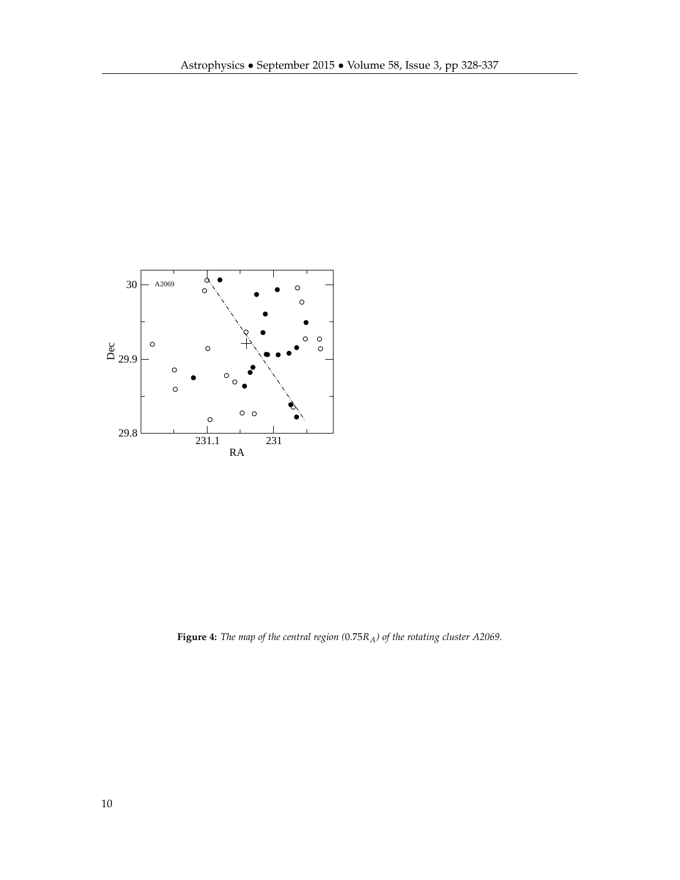

**Figure 4:** *The map of the central region (*0.75*RA) of the rotating cluster A2069.*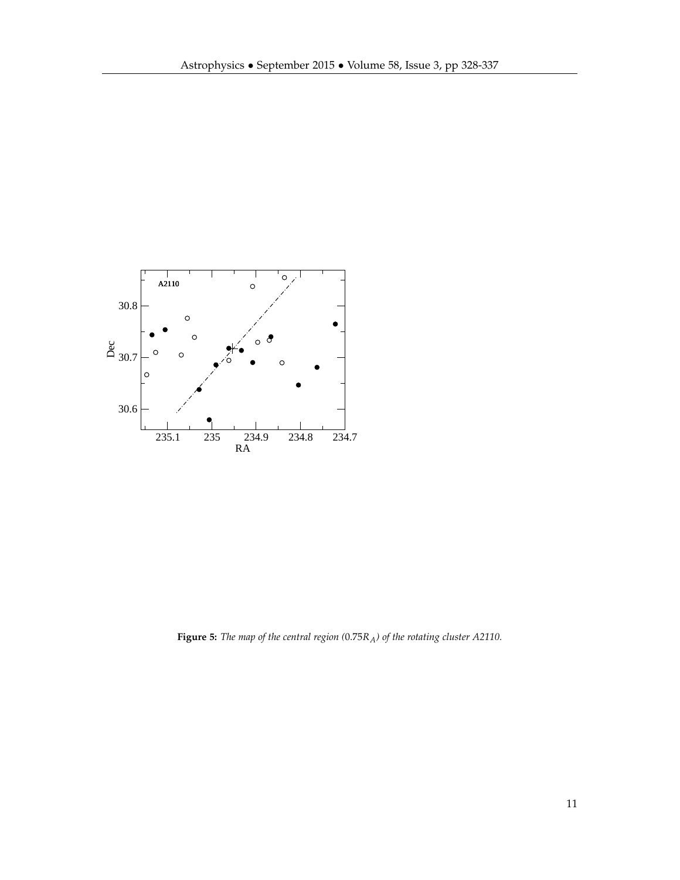

**Figure 5:** *The map of the central region (*0.75*RA) of the rotating cluster A2110.*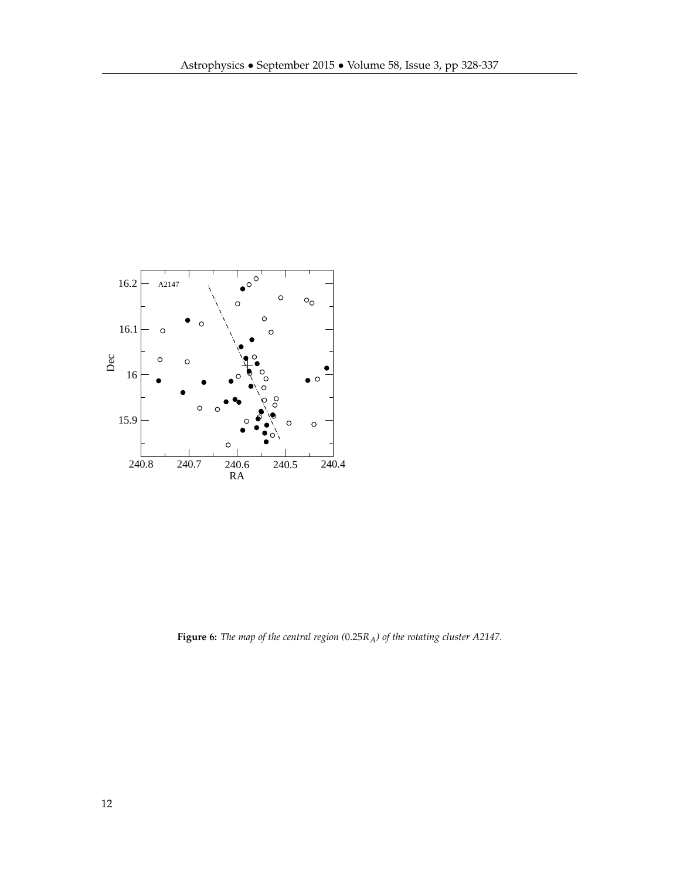

**Figure 6:** *The map of the central region (*0.25*RA) of the rotating cluster A2147.*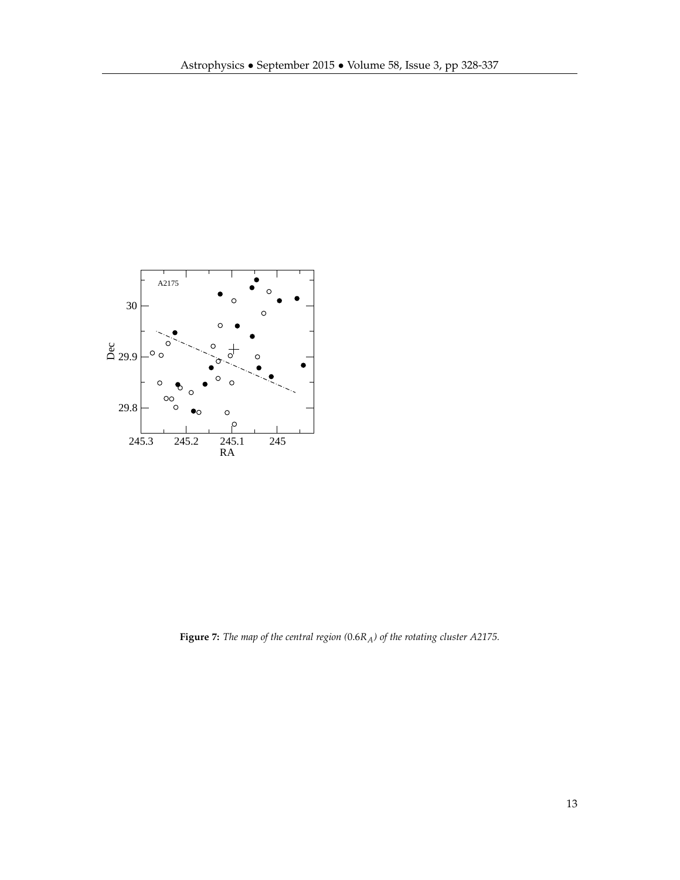

**Figure 7:** *The map of the central region (*0.6*RA) of the rotating cluster A2175.*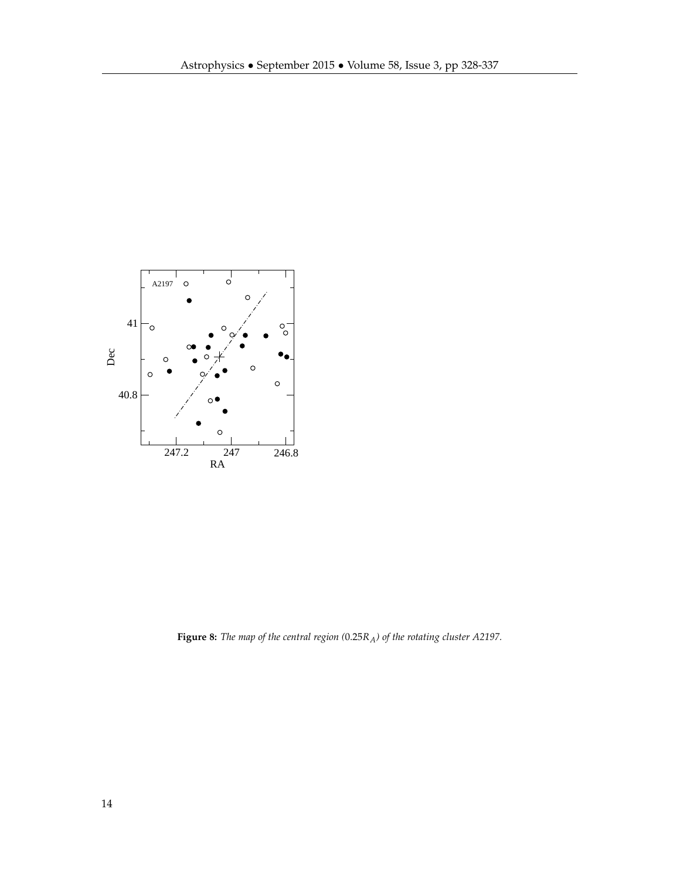

**Figure 8:** *The map of the central region (*0.25*RA) of the rotating cluster A2197.*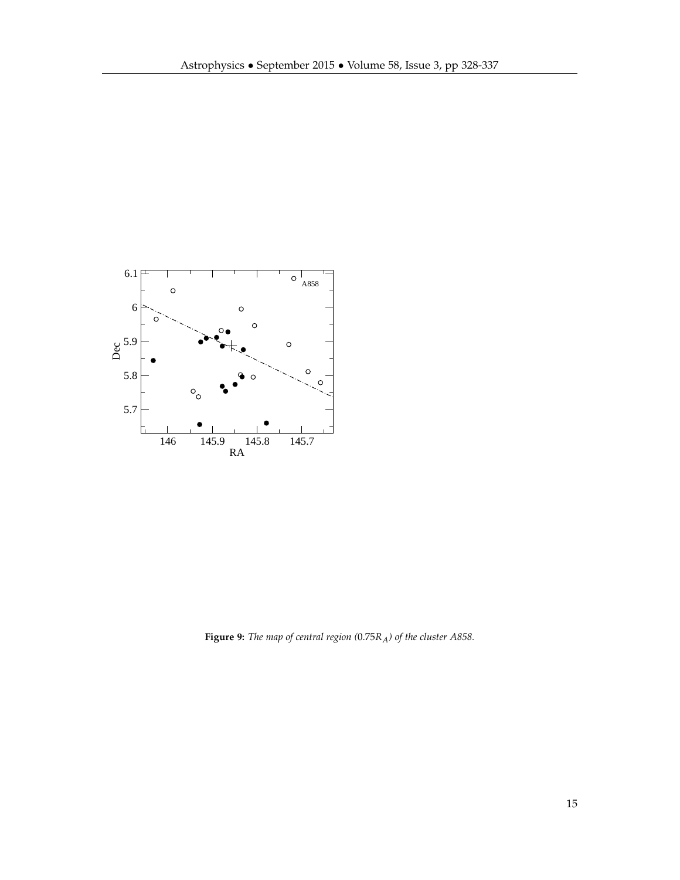

**Figure 9:** *The map of central region (*0.75*RA) of the cluster A858.*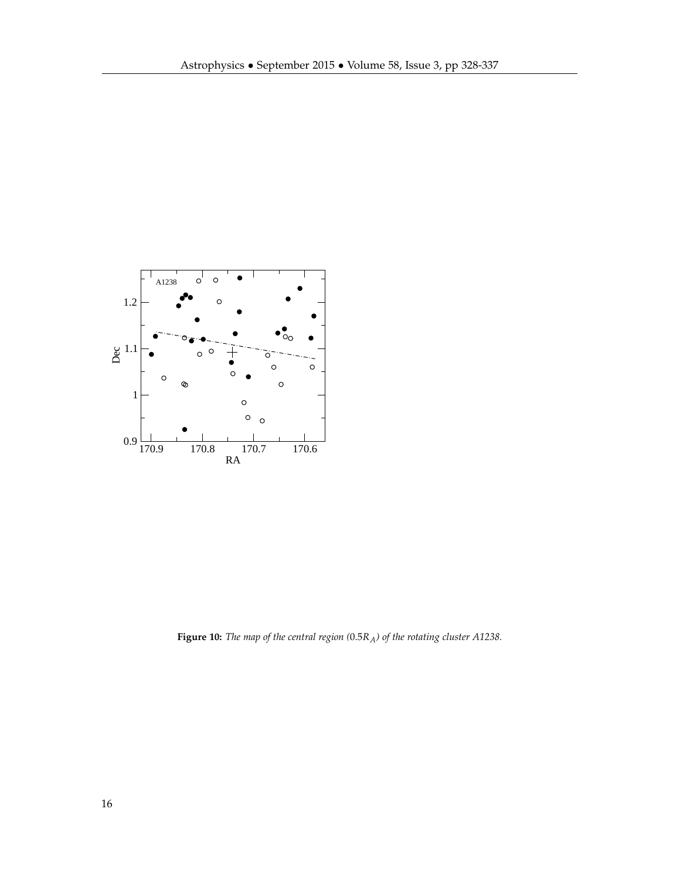

**Figure 10:** *The map of the central region (*0.5*RA) of the rotating cluster A1238.*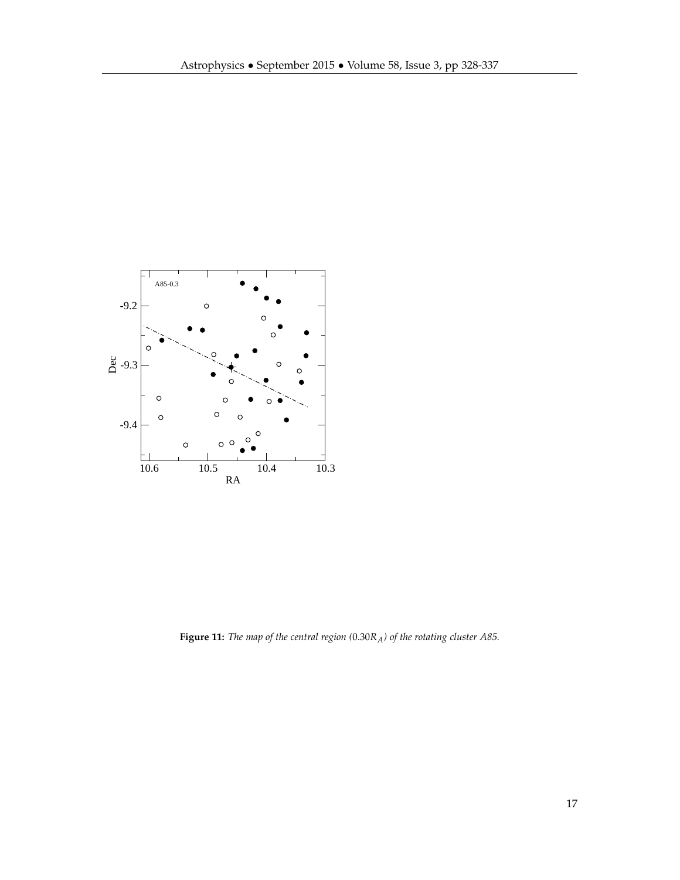

**Figure 11:** *The map of the central region (*0.30*RA) of the rotating cluster A85.*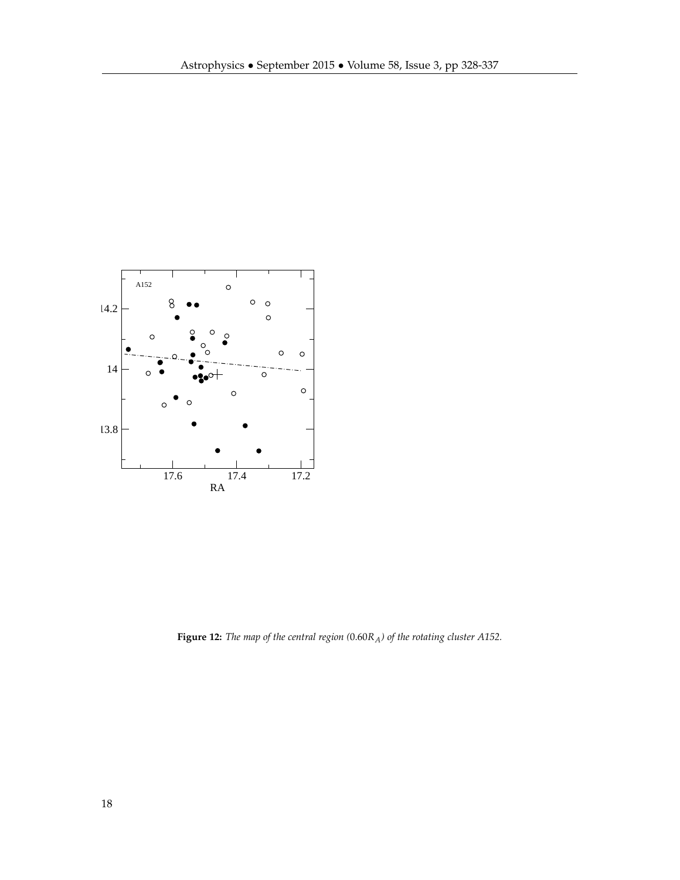

**Figure 12:** *The map of the central region (*0.60*RA) of the rotating cluster A152.*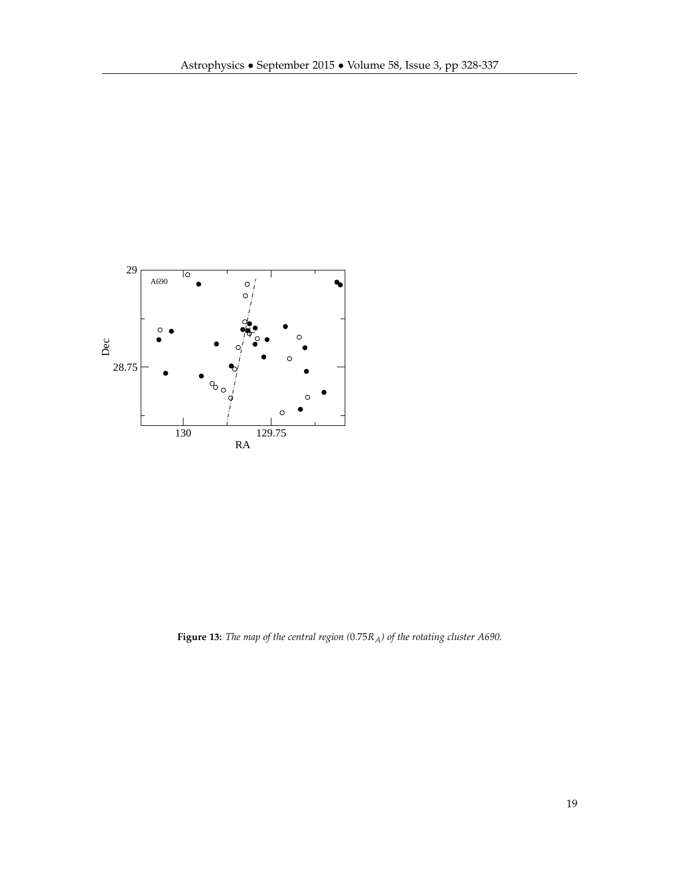

**Figure 13:** *The map of the central region (*0.75*RA) of the rotating cluster A690.*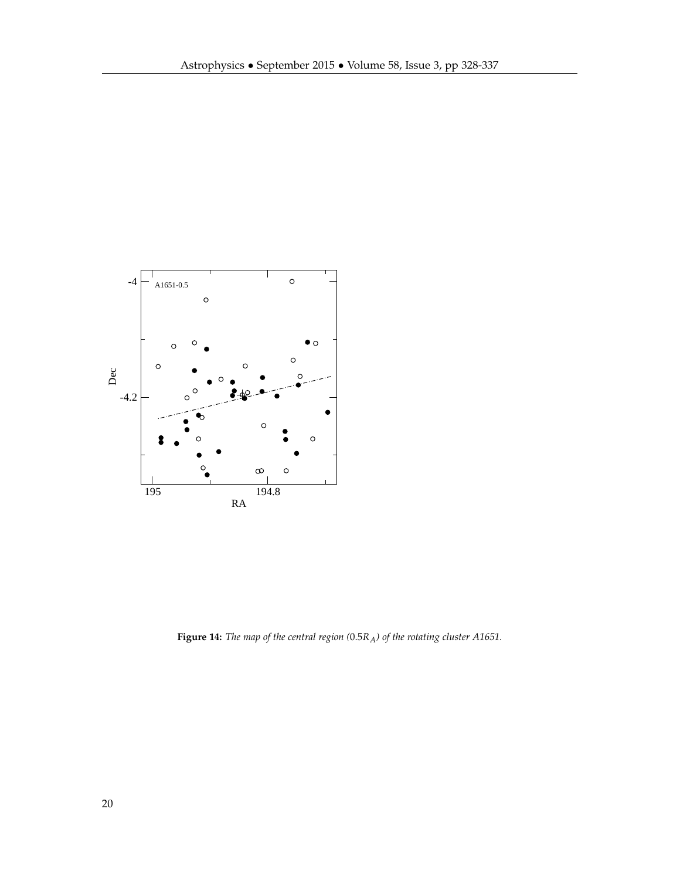

**Figure 14:** *The map of the central region (*0.5*RA) of the rotating cluster A1651.*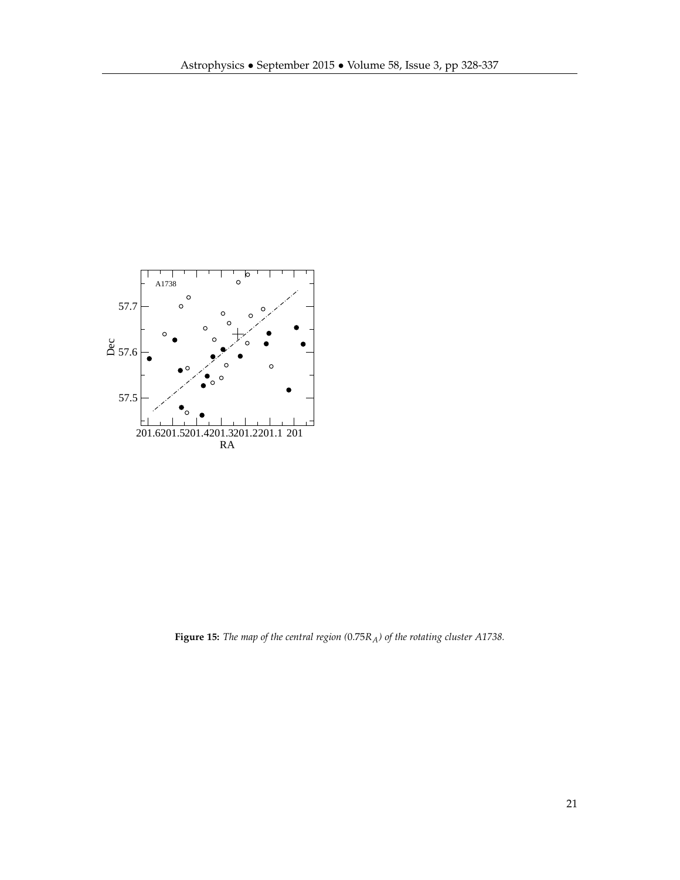

**Figure 15:** *The map of the central region (*0.75*RA) of the rotating cluster A1738.*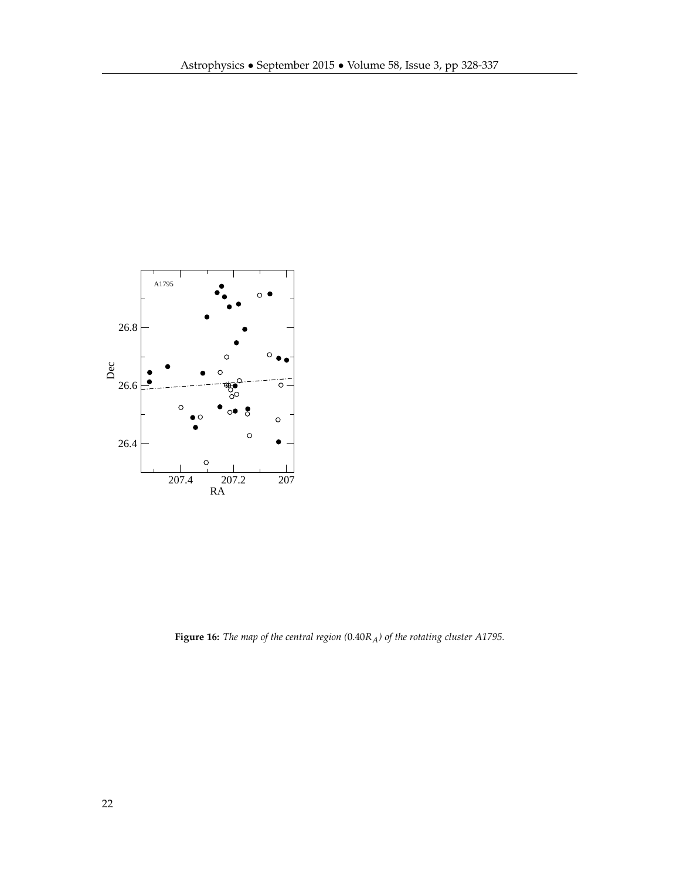

**Figure 16:** *The map of the central region (*0.40*RA) of the rotating cluster A1795.*